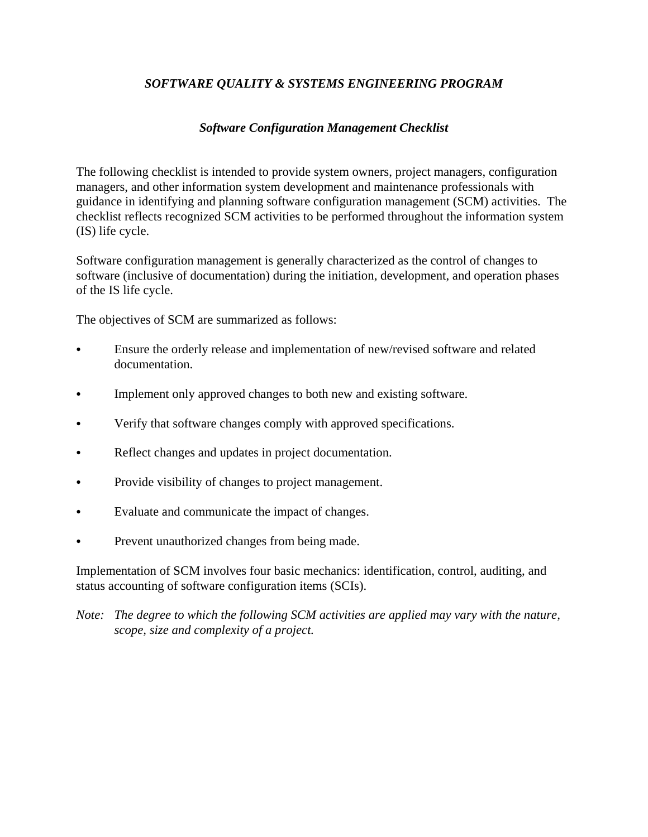# *SOFTWARE QUALITY & SYSTEMS ENGINEERING PROGRAM*

## *Software Configuration Management Checklist*

The following checklist is intended to provide system owners, project managers, configuration managers, and other information system development and maintenance professionals with guidance in identifying and planning software configuration management (SCM) activities. The checklist reflects recognized SCM activities to be performed throughout the information system (IS) life cycle.

Software configuration management is generally characterized as the control of changes to software (inclusive of documentation) during the initiation, development, and operation phases of the IS life cycle.

The objectives of SCM are summarized as follows:

- Ensure the orderly release and implementation of new/revised software and related documentation.
- Implement only approved changes to both new and existing software.
- Verify that software changes comply with approved specifications.
- Reflect changes and updates in project documentation.
- Provide visibility of changes to project management.
- Evaluate and communicate the impact of changes.
- Prevent unauthorized changes from being made.

Implementation of SCM involves four basic mechanics: identification, control, auditing, and status accounting of software configuration items (SCIs).

*Note: The degree to which the following SCM activities are applied may vary with the nature, scope, size and complexity of a project.*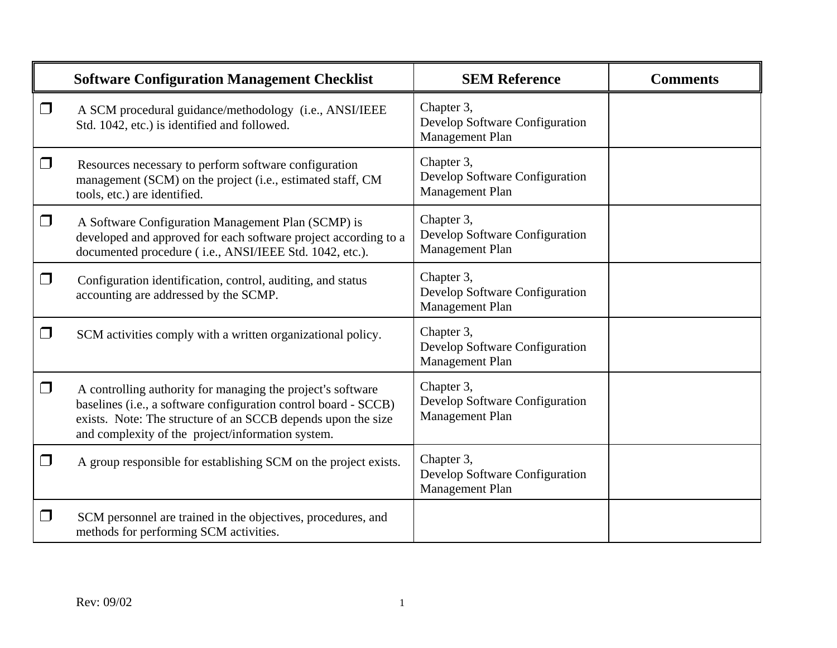|        | <b>Software Configuration Management Checklist</b>                                                                                                                                                                                                  | <b>SEM Reference</b>                                            | <b>Comments</b> |
|--------|-----------------------------------------------------------------------------------------------------------------------------------------------------------------------------------------------------------------------------------------------------|-----------------------------------------------------------------|-----------------|
| $\Box$ | A SCM procedural guidance/methodology (i.e., ANSI/IEEE<br>Std. 1042, etc.) is identified and followed.                                                                                                                                              | Chapter 3,<br>Develop Software Configuration<br>Management Plan |                 |
| $\Box$ | Resources necessary to perform software configuration<br>management (SCM) on the project (i.e., estimated staff, CM<br>tools, etc.) are identified.                                                                                                 | Chapter 3,<br>Develop Software Configuration<br>Management Plan |                 |
| $\Box$ | A Software Configuration Management Plan (SCMP) is<br>developed and approved for each software project according to a<br>documented procedure (i.e., ANSI/IEEE Std. 1042, etc.).                                                                    | Chapter 3,<br>Develop Software Configuration<br>Management Plan |                 |
| $\Box$ | Configuration identification, control, auditing, and status<br>accounting are addressed by the SCMP.                                                                                                                                                | Chapter 3,<br>Develop Software Configuration<br>Management Plan |                 |
| $\Box$ | SCM activities comply with a written organizational policy.                                                                                                                                                                                         | Chapter 3,<br>Develop Software Configuration<br>Management Plan |                 |
| $\Box$ | A controlling authority for managing the project's software<br>baselines (i.e., a software configuration control board - SCCB)<br>exists. Note: The structure of an SCCB depends upon the size<br>and complexity of the project/information system. | Chapter 3,<br>Develop Software Configuration<br>Management Plan |                 |
| $\Box$ | A group responsible for establishing SCM on the project exists.                                                                                                                                                                                     | Chapter 3,<br>Develop Software Configuration<br>Management Plan |                 |
| $\Box$ | SCM personnel are trained in the objectives, procedures, and<br>methods for performing SCM activities.                                                                                                                                              |                                                                 |                 |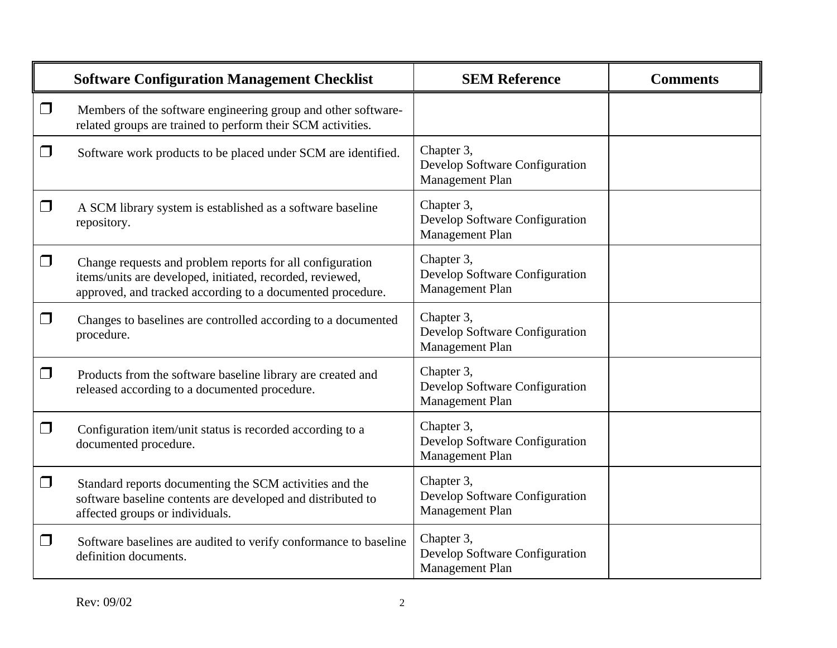|        | <b>Software Configuration Management Checklist</b>                                                                                                                                   | <b>SEM Reference</b>                                            | <b>Comments</b> |
|--------|--------------------------------------------------------------------------------------------------------------------------------------------------------------------------------------|-----------------------------------------------------------------|-----------------|
| $\Box$ | Members of the software engineering group and other software-<br>related groups are trained to perform their SCM activities.                                                         |                                                                 |                 |
| $\Box$ | Software work products to be placed under SCM are identified.                                                                                                                        | Chapter 3,<br>Develop Software Configuration<br>Management Plan |                 |
| $\Box$ | A SCM library system is established as a software baseline<br>repository.                                                                                                            | Chapter 3,<br>Develop Software Configuration<br>Management Plan |                 |
| $\Box$ | Change requests and problem reports for all configuration<br>items/units are developed, initiated, recorded, reviewed,<br>approved, and tracked according to a documented procedure. | Chapter 3,<br>Develop Software Configuration<br>Management Plan |                 |
| $\Box$ | Changes to baselines are controlled according to a documented<br>procedure.                                                                                                          | Chapter 3,<br>Develop Software Configuration<br>Management Plan |                 |
| $\Box$ | Products from the software baseline library are created and<br>released according to a documented procedure.                                                                         | Chapter 3,<br>Develop Software Configuration<br>Management Plan |                 |
| $\Box$ | Configuration item/unit status is recorded according to a<br>documented procedure.                                                                                                   | Chapter 3,<br>Develop Software Configuration<br>Management Plan |                 |
| $\Box$ | Standard reports documenting the SCM activities and the<br>software baseline contents are developed and distributed to<br>affected groups or individuals.                            | Chapter 3,<br>Develop Software Configuration<br>Management Plan |                 |
| $\Box$ | Software baselines are audited to verify conformance to baseline<br>definition documents.                                                                                            | Chapter 3,<br>Develop Software Configuration<br>Management Plan |                 |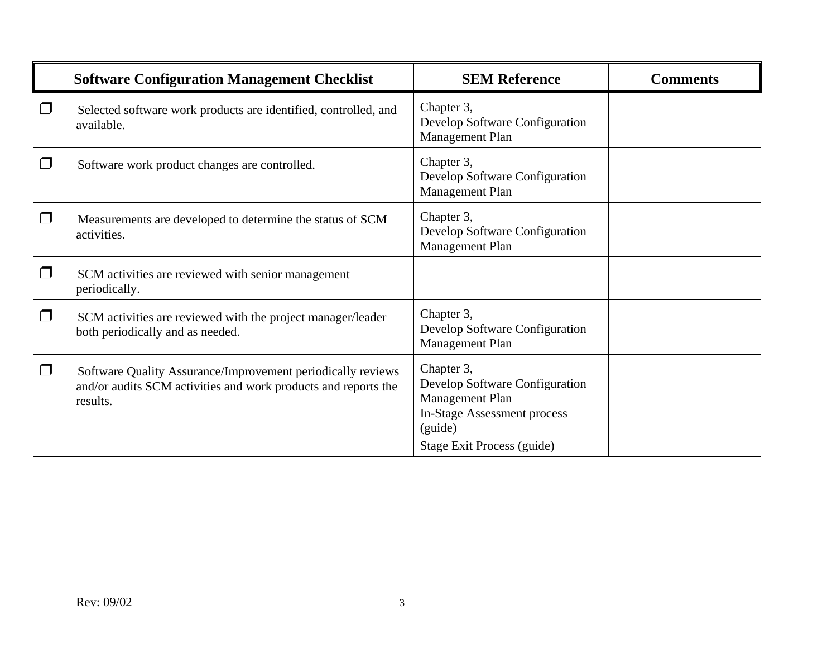|        | <b>Software Configuration Management Checklist</b>                                                                                        | <b>SEM Reference</b>                                                                                                                    | <b>Comments</b> |
|--------|-------------------------------------------------------------------------------------------------------------------------------------------|-----------------------------------------------------------------------------------------------------------------------------------------|-----------------|
| l 1    | Selected software work products are identified, controlled, and<br>available.                                                             | Chapter 3,<br>Develop Software Configuration<br>Management Plan                                                                         |                 |
| $\Box$ | Software work product changes are controlled.                                                                                             | Chapter 3,<br>Develop Software Configuration<br>Management Plan                                                                         |                 |
| $\Box$ | Measurements are developed to determine the status of SCM<br>activities.                                                                  | Chapter 3,<br>Develop Software Configuration<br>Management Plan                                                                         |                 |
| $\Box$ | SCM activities are reviewed with senior management<br>periodically.                                                                       |                                                                                                                                         |                 |
| $\Box$ | SCM activities are reviewed with the project manager/leader<br>both periodically and as needed.                                           | Chapter 3,<br>Develop Software Configuration<br>Management Plan                                                                         |                 |
| $\Box$ | Software Quality Assurance/Improvement periodically reviews<br>and/or audits SCM activities and work products and reports the<br>results. | Chapter 3,<br>Develop Software Configuration<br>Management Plan<br>In-Stage Assessment process<br>(guide)<br>Stage Exit Process (guide) |                 |